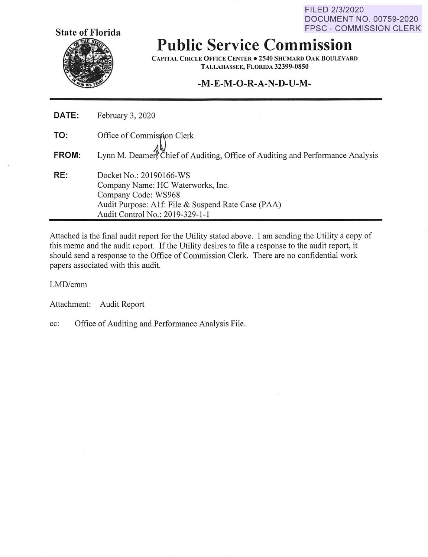FILED **2/3/2020 DOCUMENT NO. 00759-2020 FPSC** - **COMMISSION CLERK** 



**Public Service Commission** 

**CAPITAL CIRCLE OFFJCE CENTER• 2540 SHUMARD OAK BOULEVARD TALLAHASSEE, FLORIDA 32399-0850** 

## **-M-E-M-O-R-A-N-D-U-M-**

| DATE: | February 3, 2020                                                                                                                                                             |
|-------|------------------------------------------------------------------------------------------------------------------------------------------------------------------------------|
| TO:   | Office of Commission Clerk                                                                                                                                                   |
| FROM: | Lynn M. Deamer, Chief of Auditing, Office of Auditing and Performance Analysis                                                                                               |
| RE:   | Docket No.: 20190166-WS<br>Company Name: HC Waterworks, Inc.<br>Company Code: WS968<br>Audit Purpose: A1f: File & Suspend Rate Case (PAA)<br>Audit Control No.: 2019-329-1-1 |

Attached is the final audit report for the Utility stated above. I am sending the Utility a copy of this memo and the audit report. If the Utility desires to file a response to the audit report, it should send a response to the Office of Commission Clerk. There are no confidential work papers associated with this audit.

LMD/cmm

Attachment: Audit Report

cc: Office of Auditing and Performance Analysis File.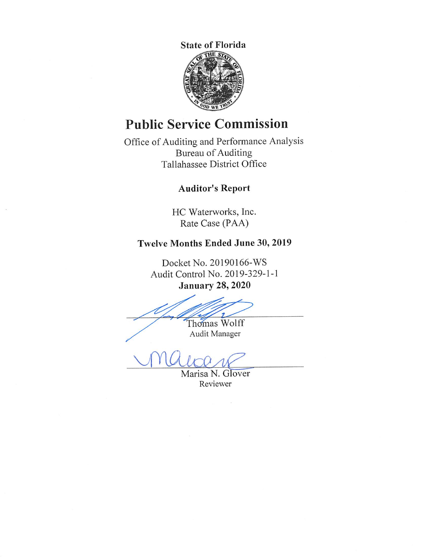

# **Public Service Commission**

Office of Auditing and Performance Analysis Bureau of Auditing Tallahassee District Office

# **Auditor's Report**

HC Waterworks, Inc. Rate Case (PAA)

# **Twelve Months Ended June 30, 2019**

Docket No. 20190166-WS Audit Control No. 2019-329-1-1 **January 28, 2020** 

Thomas Wolff

Audit Manager

Marisa N. Glover Reviewer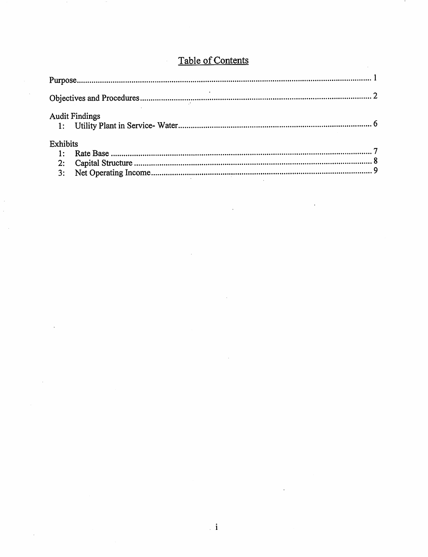|                 | <b>Audit Findings</b> |  |
|-----------------|-----------------------|--|
| <b>Exhibits</b> |                       |  |
|                 |                       |  |
|                 |                       |  |
| 3:              |                       |  |

 $\sim 10^{-1}$ 

 $\mathcal{L}^{\text{max}}$  .

 $\bar{\beta}$ 

 $\sim 10$ 

 $\bar{z}$ 

# Table of Contents

 $\hat{\mathcal{A}}$ 

 $\bar{\lambda}$ 

 $\mathcal{L}_{\mathbf{r}}$ 

 $\sim 10^{-10}$ 

 $\bar{\beta}$ 

 $\hat{\mathcal{A}}$ 

 $\hat{\mathcal{A}}$ 

 $\sim$   $\sim$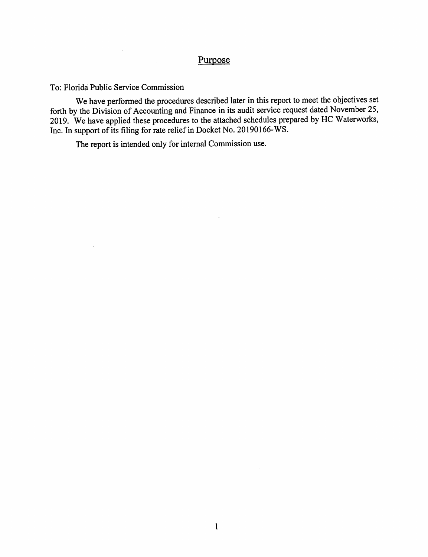## Purpose

To: Florida Public Service Commission

 $\mathcal{L}$ 

 $\mathcal{L}^{(1)}$  .

We have performed the procedures described later in this report to meet the objectives set forth by the Division of Accounting and Finance in its audit service request dated November 25, 2019. We have applied these procedures to the attached schedules prepared by HC Waterworks, Inc. In support of its filing for rate relief in Docket No. 20190166-WS.

 $\sim$   $\sim$ 

The report is intended only for internal Commission use.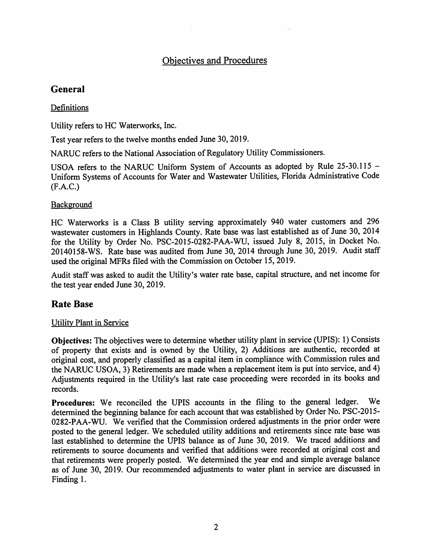# Objectives and Procedures

# **General**

### Definitions

Utility refers to HC Waterworks, Inc.

Test year refers to the twelve months ended June 30, 2019.

NARUC refers to the National Association of Regulatory Utility Commissioners.

USOA refers to the NARUC Uniform System of Accounts as adopted by Rule 25-30.115 - Uniform Systems of Accounts for Water and Wastewater Utilities, Florida Administrative Code (F.A.C.)

### **Background**

HC Waterworks is a Class B utility serving approximately 940 water customers and 296 wastewater customers in Highlands County. Rate base was last established as of June 30, 2014 for the Utility by Order No. PSC-2015-0282-PAA-WU, issued July 8, 2015, in Docket No. 20140158-WS. Rate base was audited from June 30, 2014 through June 30, 2019. Audit staff used the original MFRs filed with the Commission on October 15, 2019.

Audit staff was asked to audit the Utility's water rate base, capital structure, and net income for the test year ended June 30, 2019.

## **Rate Base**

### Utility Plant in Service

**Objectives:** The objectives were to determine whether utility plant in service (UPIS): 1) Consists of property that exists and is owned by the Utility, 2) Additions are authentic, recorded at original cost, and properly classified as a capital item in compliance with Commission rules and the NARUC USOA, 3) Retirements are made when a replacement item is put into service, and 4) Adjustments required in the Utility's last rate case proceeding were recorded in its books and records.

**Procedures:** We reconciled the UPIS accounts in the filing to the general ledger. We determined the beginning balance for each account that was established by Order No. PSC-2015- 0282-PAA-WU. We verified that the Commission ordered adjustments in the prior order were posted to the general ledger. We scheduled utility additions and retirements since rate base was last established to determine the UPIS balance as of June 30, 2019. We traced additions and retirements to source documents and verified that additions were recorded at original cost and that retirements were properly posted. We determined the year end and simple average balance as of June 30, 2019. Our recommended adjustments to water plant in service are discussed in Finding 1.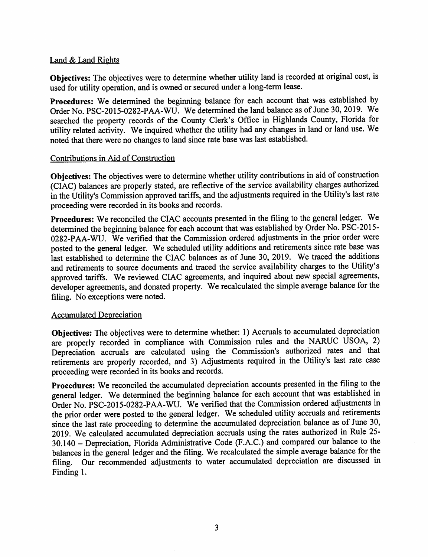#### Land & Land Rights

**Objectives:** The objectives were to determine whether utility land is recorded at original cost, is used for utility operation, and is owned or secured under a long-term lease.

**Procedures:** We determined the beginning balance for each account that was established by Order No. PSC-2015-0282-PAA-WU. We determined the land balance as of June 30, 2019. We searched the property records of the County Clerk's Office in Highlands County, Florida for utility related activity. We inquired whether the utility had any changes in land or land use. We noted that there were no changes to land since rate base was last established.

#### Contributions in Aid of Construction

**Objectives:** The objectives were to determine whether utility contributions in aid of construction (CIAC) balances are properly stated, are reflective of the service availability charges authorized in the Utility's Commission approved tariffs, and the adjustments required in the Utility's last rate proceeding were recorded in its books and records.

**Procedures:** We reconciled the CIAC accounts presented in the filing to the general ledger. We determined the beginning balance for each account that was established by Order No. PSC-2015- 0282-PAA-WU. We verified that the Commission ordered adjustments in the prior order were posted to the general ledger. We scheduled utility additions and retirements since rate base was last established to determine the CIAC balances as of June 30, 2019. We traced the additions and retirements to source documents and traced the service availability charges to the Utility's approved tariffs. We reviewed CIAC agreements, and inquired about new special agreements, developer agreements, and donated property. We recalculated the simple average balance for the filing. No exceptions were noted.

#### Accumulated Depreciation

**Objectives:** The objectives were to determine whether: 1) Accruals to accumulated depreciation are properly recorded in compliance with Commission rules and the NARUC USOA, 2) Depreciation accruals are calculated using the Commission's authorized rates and that retirements are properly recorded, and 3) Adjustments required in the Utility's last rate case proceeding were recorded in its books and records.

**Procedures:** We reconciled the accumulated depreciation accounts presented in the filing to the general ledger. We determined the beginning balance for each account that was established in Order No. PSC-2015-0282-PAA-WU. We verified that the Commission ordered adjustments in the prior order were posted to the general ledger. We scheduled utility accruals and retirements since the last rate proceeding to determine the accumulated depreciation balance as of June 30, 2019. We calculated accumulated depreciation accruals using the rates authorized in Rule 25- 30.140 - Depreciation, Florida Administrative Code (F.A.C.) and compared our balance to the balances in the general ledger and the filing. We recalculated the simple average balance for the filing. Our recommended adjustments to water accumulated depreciation are discussed in Finding 1.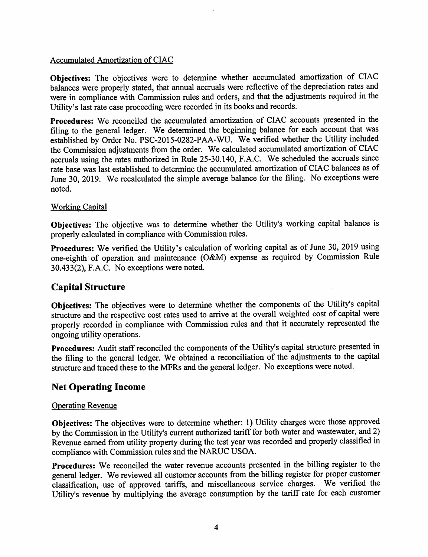#### Accumulated Amortization of CIAC

**Objectives:** The objectives were to determine whether accumulated amortization of CIAC balances were properly stated, that annual accruals were reflective of the depreciation rates and were in compliance with Commission rules and orders, and that the adjustments required in the Utility's last rate case proceeding were recorded in its books and records.

**Procedures:** We reconciled the accumulated amortization of CIAC accounts presented in the filing to the general ledger. We determined the beginning balance for each account that was established by Order No. PSC-2015-0282-PAA-WU. We verified whether the Utility included the Commission adjustments from the order. We calculated accumulated amortization of CIAC accruals using the rates authorized in Rule 25-30.140, F.A.C. We scheduled the accruals since rate base was last established to determine the accumulated amortization of CIAC balances as of June 30, 2019. We recalculated the simple average balance for the filing. No exceptions were noted.

#### Working Capital

**Objectives:** The objective was to determine whether the Utility's working capital balance is properly calculated in compliance with Commission rules.

**Procedures:** We verified the Utility's calculation of working capital as of June 30, 2019 using one-eighth of operation and maintenance (O&M) expense as required by Commission Rule 30.433(2), F.A.C. No exceptions were noted.

## **Capital Structure**

**Objectives:** The objectives were to determine whether the components of the Utility's capital structure and the respective cost rates used to arrive at the overall weighted cost of capital were properly recorded in compliance with Commission rules and that it accurately represented the ongoing utility operations.

**Procedures:** Audit staff reconciled the components of the Utility's capital structure presented in the filing to the general ledger. We obtained a reconciliation of the adjustments to the capital structure and traced these to the MFRs and the general ledger. No exceptions were noted.

## **Net Operating Income**

#### Operating Revenue

**Objectives:** The objectives were to determine whether: 1) Utility charges were those approved by the Commission in the Utility's current authorized tariff for both water and wastewater, and 2) Revenue earned from utility property during the test year was recorded and properly classified in compliance with Commission rules and the NARUC USOA.

**Procedures:** We reconciled the water revenue accounts presented in the billing register to the general ledger. We reviewed all customer accounts from the billing register for proper customer classification, use of approved tariffs, and miscellaneous service charges. We verified the Utility's revenue by multiplying the average consumption by the tariff rate for each customer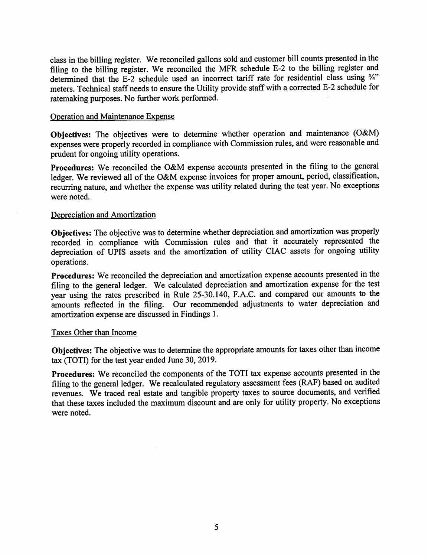class in the billing register. We reconciled gallons sold and customer bill counts presented in the filing to the billing register. We reconciled the MFR schedule E-2 to the billing register and determined that the E-2 schedule used an incorrect tariff rate for residential class using ¾" meters. Technical staff needs to ensure the Utility provide staff with a corrected E-2 schedule for ratemaking purposes. No further work performed.

#### Operation and Maintenance Expense

**Objectives:** The objectives were to determine whether operation and maintenance (O&M) expenses were properly recorded in compliance with Commission rules, and were reasonable and prudent for ongoing utility operations.

**Procedures:** We reconciled the O&M expense accounts presented in the filing to the general ledger. We reviewed all of the O&M expense invoices for proper amount, period, classification, recurring nature, and whether the expense was utility related during the teat year. No exceptions were noted.

#### Depreciation and Amortization

**Objectives:** The objective was to determine whether depreciation and amortization was properly recorded in compliance with Commission rules and that it accurately represented the depreciation of UPIS assets and the amortization of utility CIAC assets for ongoing utility operations.

**Procedures:** We reconciled the depreciation and amortization expense accounts presented in the filing to the general ledger. We calculated depreciation and amortization expense for the test year using the rates prescribed in Rule 25-30.140, F.A.C. and compared our amounts to the amounts reflected in the filing. Our recommended adjustments to water depreciation and amortization expense are discussed in Findings 1.

#### Taxes Other than Income

**Objectives:** The objective was to determine the appropriate amounts for taxes other than income tax (TOTI) for the test year ended June 30, 2019.

**Procedures:** We reconciled the components of the TOTI tax expense accounts presented in the filing to the general ledger. We recalculated regulatory assessment fees (RAF) based on audited revenues. We traced real estate and tangible property taxes to source documents, and verified that these taxes included the maximum discount and are only for utility property. No exceptions were noted.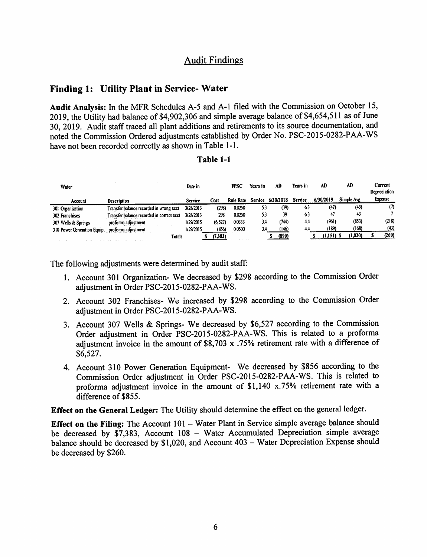## Audit Findings

### **Finding 1: Utility Plant in Service- Water**

**Audit Analysis:** In the MFR Schedules A-5 and A-1 filed with the Commission on October 15, 2019, the Utility had balance of \$4,902,306 and simple average balance of \$4,654,511 as of June 30, 2019. Audit staff traced all plant additions and retirements to its source documentation, and noted the Commission Ordered adjustments established by Order No. PSC-2015-0282-PAA-WS have not been recorded correctly as shown in Table 1-1.

#### **Table 1-1**

| Water                       |                                           | Date in   |          | FPSC             | Years in | AD        | Years in | AD        | AD         | Current<br>Depreciation |
|-----------------------------|-------------------------------------------|-----------|----------|------------------|----------|-----------|----------|-----------|------------|-------------------------|
| Account                     | <b>Description</b>                        | Service   | Cost     | <b>Rule Rate</b> | Service  | 6/30/2018 | Service  | 6/30/2019 | Simple Ave | <b>Expense</b>          |
| 301 Organization            | Transfer balance recorded in wrong acct   | 3/28/2013 | (298)    | 0.0250           | 53       | (39)      | 6.3      | (47)      | (43)       | $\sigma$                |
| 302 Franchises              | Transfer balance recorded in correct acct | 3/28/2013 | 298      | 0.0250           | 5.3      | 39        | 63       | 47        | 43         |                         |
| 307 Wells & Springs         | proforma adjustment                       | 1/29/2015 | (6, 527) | 0.0333           | 3.4      | (744)     | 4.4      | (961)     | (853)      | (218)                   |
| 310 Power Generation Equip. | proforma adjustment                       | 1/29/2015 | (856)    | 0.0500           | 3.4      | (146)     | 4.4      | (189)     | (168)      | (43)                    |
|                             | <b>Totals</b>                             |           | (7,383)  |                  |          | (890)     |          | (1.151) S | (1,020)    | (260)                   |

The following adjustments were determined by audit staff:

- 1. Account 301 Organization- We decreased by \$298 according to the Commission Order adjustment in Order PSC-2015-0282-PAA-WS.
- 2. Account 302 Franchises- We increased by \$298 according to the Commission Order adjustment in Order PSC-2015-0282-PAA-WS.
- 3. Account 307 Wells & Springs- We decreased by \$6,527 according to the Commission Order adjustment in Order PSC-2015-0282-PAA-WS. This is related to a proforma adjustment invoice in the amount of  $$8,703 \times .75\%$  retirement rate with a difference of \$6,527.
- 4. Account 310 Power Generation Equipment- We decreased by \$856 according to the Commission Order adjustment in Order PSC-2015-0282-PAA-WS. This is related to proforma adjustment invoice in the amount of \$1,140 x.75% retirement rate with a difference of \$855.

**Effect on the General Ledger:** The Utility should determine the effect on the general ledger.

**Effect on the Filing:** The Account 101 - Water Plant in Service simple average balance should be decreased by \$7,383, Account 108 - Water Accumulated Depreciation simple average balance should be decreased by \$1,020, and Account 403 - Water Depreciation Expense should be decreased by \$260.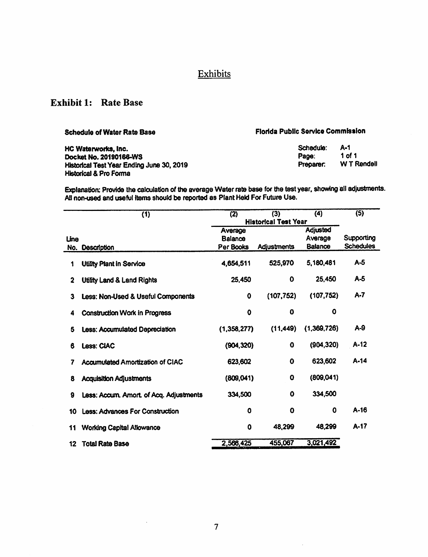# **Exhibits**

# Exhibit 1: Rate Base

| <b>Schedule of Water Rate Base</b>        | <b>Florida Public Service Commission</b> |             |  |  |
|-------------------------------------------|------------------------------------------|-------------|--|--|
| HC Waterworks, Inc.                       | Schedule:                                | A-1         |  |  |
| Docket No. 20190166-WS                    | Page:                                    | 1 of 1      |  |  |
| Historical Test Year Ending June 30, 2019 | Preparer.                                | W T Rendell |  |  |
| <b>Historical &amp; Pro Forma</b>         |                                          |             |  |  |

Explanation: Provide the calculation of the average Water rate base for the test year, showing all adjustments. All non-used and useful items should be reported as Plant Held For Future Use.

|                         | (1)                                     | (2)         | (3)                         | $\overline{4}$ | (5)              |  |  |
|-------------------------|-----------------------------------------|-------------|-----------------------------|----------------|------------------|--|--|
|                         |                                         |             | <b>Historical Test Year</b> |                |                  |  |  |
|                         |                                         | Average     |                             | Adjusted       |                  |  |  |
| Line                    |                                         | Balance     |                             | average        | Supporting       |  |  |
|                         | No. Description                         | Per Books   | Adjustments                 | <b>Balance</b> | <b>Schedules</b> |  |  |
| 1                       | <b>Utility Plant in Service</b>         | 4,654,511   | 525,970                     | 5,180,481      | $A-5$            |  |  |
| $\overline{\mathbf{2}}$ | <b>Utility Land &amp; Land Rights</b>   | 25,450      | 0                           | 25,450         | A-5              |  |  |
| 3                       | Less: Non-Used & Useful Components      | $\mathbf 0$ | (107, 752)                  | (107, 752)     | $A - 7$          |  |  |
| 4                       | <b>Construction Work in Progress</b>    | 0           | 0                           | O              |                  |  |  |
| 6                       | <b>Less: Accumulated Depreciation</b>   | (1,358,277) | (11,449)                    | (1,369,726)    | $A-9$            |  |  |
| 6                       | Less: CIAC                              | (904, 320)  | 0                           | (904, 320)     | A-12             |  |  |
| 7                       | <b>Accumulated Amortization of CIAC</b> | 623,602     | $\mathbf o$                 | 623,602        | A-14             |  |  |
| 8                       | <b>Acquisition Adjustments</b>          | (809, 041)  | $\mathbf o$                 | (809, 041)     |                  |  |  |
| 9                       | Less: Accum. Amort. of Acq. Adjustments | 334,500     | $\mathbf 0$                 | 334,500        |                  |  |  |
| 10                      | <b>Less: Advances For Construction</b>  | O           | O                           | 0              | $A-16$           |  |  |
| 11                      | <b>Working Capital Allowance</b>        | 0           | 48,299                      | 48,299         | A-17             |  |  |
| 12                      | <b>Total Rate Base</b>                  | 2,566,425   | 455,067                     | 3,021,492      |                  |  |  |

 $\hat{\mathcal{L}}$ 

 $\hat{\mathcal{L}}$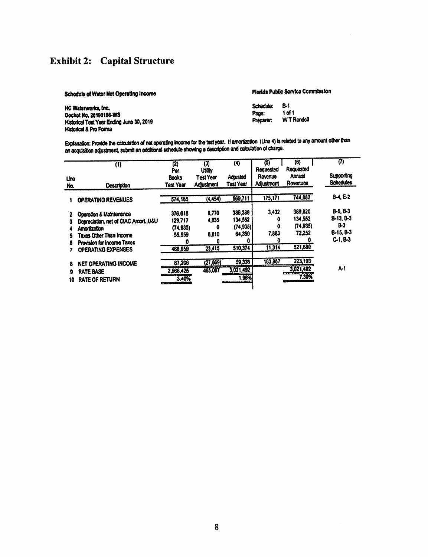# **Exhibit 2: Capital Structure**

| Schedule of Water Net Operating Income                                                                                          | Florida Public Service Commission |                                    |  |  |
|---------------------------------------------------------------------------------------------------------------------------------|-----------------------------------|------------------------------------|--|--|
| HC Waterworks, Inc.<br>Docket No. 20190166-WS<br>Historical Test Year Ending June 30, 2019<br><b>Historical &amp; Pro Forma</b> | Schedule:<br>Рвое:<br>Pracarer.   | 8-1<br>1 of 1<br><b>WT Rendell</b> |  |  |

Explanation: Provide the calculation of net operating income for the test year, if amortization (Line 4) is related to any amount other than<br>an acquisition adjustment, submit an additional schedule showing a description an

| Line<br>No.  | (1)<br><b>Description</b>                                                                                                                                              | $\overline{2}$<br>Per<br><b>Books</b><br>Test Year   | (3)<br><b>Utility</b><br>Test Year<br>Adjustment | $\bf(4)$<br>Adjusted<br>Test Year                    | (5)<br>Requested<br>Revenue<br>Adjustment | $\overline{(0)}$<br>Requested<br>Annual<br><b>Rovariuos</b> | (7)<br>Supporting<br><b>Schodules</b>                            |
|--------------|------------------------------------------------------------------------------------------------------------------------------------------------------------------------|------------------------------------------------------|--------------------------------------------------|------------------------------------------------------|-------------------------------------------|-------------------------------------------------------------|------------------------------------------------------------------|
|              | <b>OPERATING REVENUES</b>                                                                                                                                              | 574,165                                              | (4, 454)                                         | 569,711                                              | 175,171                                   | 744,882                                                     | $B - 4, E - 2$                                                   |
| 5<br>8       | Operation & Maintenance<br>Depreciation, net of CIAC Amort., U&U<br><b>Amortization</b><br>Taxes Other Than Income<br>Provision for Income Taxes<br>OPERATING EXPENSES | 376,618<br>129,717<br>(74, 935)<br>55,559<br>488,959 | 9,770<br>4,835<br>8,810<br>O<br>23,415           | 388,388<br>134,552<br>(74, 935)<br>64.369<br>510,374 | 3,432<br>o<br>0<br>7.883<br>o<br>11,314   | 389,820<br>134,552<br>(74,935)<br>72.252<br>521,689         | $B-5. B-3$<br>8-13, 8-3<br>B-3<br><b>B-15, B-3</b><br>$C-1, B-3$ |
| 8<br>9<br>10 | NET OPERATING INCOME<br><b>RATE BASE</b><br><b>RATE OF RETURN</b>                                                                                                      | 87,206<br>2,566,425<br>3.40%                         | (27, 869)<br>455.067                             | 59,336<br>3,021,492<br>1.96%                         | 163,857                                   | 223,193<br>3,021,492<br>7.39%                               | A-1                                                              |

 $\bar{\gamma}$